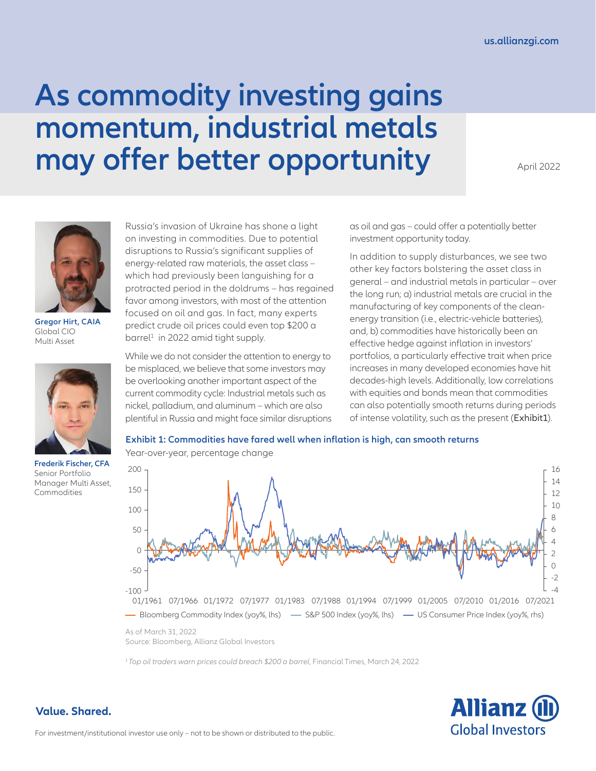# **As commodity investing gains momentum, industrial metals may offer better opportunity**

April 2022



**Gregor Hirt, CAIA** Global CIO Multi Asset



**Frederik Fischer, CFA**  Senior Portfolio Manager Multi Asset, Commodities

Russia's invasion of Ukraine has shone a light on investing in commodities. Due to potential disruptions to Russia's significant supplies of energy-related raw materials, the asset class – which had previously been languishing for a protracted period in the doldrums – has regained favor among investors, with most of the attention focused on oil and gas. In fact, many experts predict crude oil prices could even top \$200 a barrel<sup>1</sup> in 2022 amid tight supply.

While we do not consider the attention to energy to be misplaced, we believe that some investors may be overlooking another important aspect of the current commodity cycle: Industrial metals such as nickel, palladium, and aluminum – which are also plentiful in Russia and might face similar disruptions as oil and gas – could offer a potentially better investment opportunity today.

In addition to supply disturbances, we see two other key factors bolstering the asset class in general – and industrial metals in particular – over the long run; a) industrial metals are crucial in the manufacturing of key components of the cleanenergy transition (i.e., electric-vehicle batteries), and, b) commodities have historically been an effective hedge against inflation in investors' portfolios, a particularly effective trait when price increases in many developed economies have hit decades-high levels. Additionally, low correlations with equities and bonds mean that commodities can also potentially smooth returns during periods of intense volatility, such as the present (Exhibit1).

# **Exhibit 1: Commodities have fared well when inflation is high, can smooth returns**



Year-over-year, percentage change

As of March 31, 2022 Source: Bloomberg, Allianz Global Investors

<sup>1</sup>*Top oil traders warn prices could breach \$200 a barrel*, Financial Times, March 24, 2022

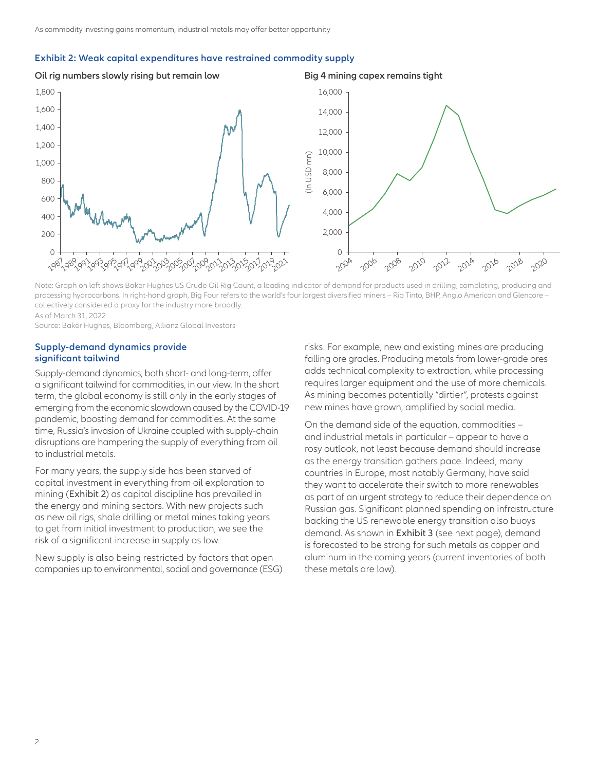#### **Exhibit 2: Weak capital expenditures have restrained commodity supply**

**Oil rig numbers slowly rising but remain low Big 4 mining capex remains tight**



Note: Graph on left shows Baker Hughes US Crude Oil Rig Count, a leading indicator of demand for products used in drilling, completing, producing and processing hydrocarbons. In right-hand graph, Big Four refers to the world's four largest diversified miners – Rio Tinto, BHP, Anglo American and Glencore – collectively considered a proxy for the industry more broadly.

As of March 31, 2022

Source: Baker Hughes, Bloomberg, Allianz Global Investors

### **Supply-demand dynamics provide significant tailwind**

Supply-demand dynamics, both short- and long-term, offer a significant tailwind for commodities, in our view. In the short term, the global economy is still only in the early stages of emerging from the economic slowdown caused by the COVID-19 pandemic, boosting demand for commodities. At the same time, Russia's invasion of Ukraine coupled with supply-chain disruptions are hampering the supply of everything from oil to industrial metals.

For many years, the supply side has been starved of capital investment in everything from oil exploration to mining (Exhibit 2) as capital discipline has prevailed in the energy and mining sectors. With new projects such as new oil rigs, shale drilling or metal mines taking years to get from initial investment to production, we see the risk of a significant increase in supply as low.

New supply is also being restricted by factors that open companies up to environmental, social and governance (ESG) risks. For example, new and existing mines are producing falling ore grades. Producing metals from lower-grade ores adds technical complexity to extraction, while processing requires larger equipment and the use of more chemicals. As mining becomes potentially "dirtier", protests against new mines have grown, amplified by social media.

On the demand side of the equation, commodities – and industrial metals in particular – appear to have a rosy outlook, not least because demand should increase as the energy transition gathers pace. Indeed, many countries in Europe, most notably Germany, have said they want to accelerate their switch to more renewables as part of an urgent strategy to reduce their dependence on Russian gas. Significant planned spending on infrastructure backing the US renewable energy transition also buoys demand. As shown in Exhibit 3 (see next page), demand is forecasted to be strong for such metals as copper and aluminum in the coming years (current inventories of both these metals are low).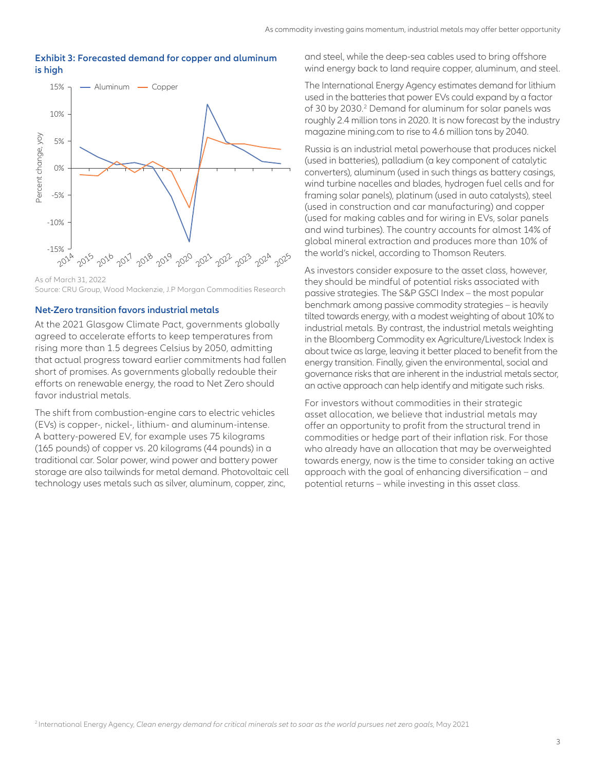### **Exhibit 3: Forecasted demand for copper and aluminum is high**



As of March 31, 2022 Source: CRU Group, Wood Mackenzie, J.P Morgan Commodities Research

# **Net-Zero transition favors industrial metals**

At the 2021 Glasgow Climate Pact, governments globally agreed to accelerate efforts to keep temperatures from rising more than 1.5 degrees Celsius by 2050, admitting that actual progress toward earlier commitments had fallen short of promises. As governments globally redouble their efforts on renewable energy, the road to Net Zero should favor industrial metals.

The shift from combustion-engine cars to electric vehicles (EVs) is copper-, nickel-, lithium- and aluminum-intense. A battery-powered EV, for example uses 75 kilograms (165 pounds) of copper vs. 20 kilograms (44 pounds) in a traditional car. Solar power, wind power and battery power storage are also tailwinds for metal demand. Photovoltaic cell technology uses metals such as silver, aluminum, copper, zinc,

and steel, while the deep-sea cables used to bring offshore wind energy back to land require copper, aluminum, and steel.

The International Energy Agency estimates demand for lithium used in the batteries that power EVs could expand by a factor of 30 by 2030.<sup>2</sup> Demand for aluminum for solar panels was roughly 2.4 million tons in 2020. It is now forecast by the industry magazine mining.com to rise to 4.6 million tons by 2040.

Russia is an industrial metal powerhouse that produces nickel (used in batteries), palladium (a key component of catalytic converters), aluminum (used in such things as battery casings, wind turbine nacelles and blades, hydrogen fuel cells and for framing solar panels), platinum (used in auto catalysts), steel (used in construction and car manufacturing) and copper (used for making cables and for wiring in EVs, solar panels and wind turbines). The country accounts for almost 14% of global mineral extraction and produces more than 10% of the world's nickel, according to Thomson Reuters.

As investors consider exposure to the asset class, however, they should be mindful of potential risks associated with passive strategies. The S&P GSCI Index – the most popular benchmark among passive commodity strategies – is heavily tilted towards energy, with a modest weighting of about 10% to industrial metals. By contrast, the industrial metals weighting in the Bloomberg Commodity ex Agriculture/Livestock Index is about twice as large, leaving it better placed to benefit from the energy transition. Finally, given the environmental, social and governance risks that are inherent in the industrial metals sector, an active approach can help identify and mitigate such risks.

For investors without commodities in their strategic asset allocation, we believe that industrial metals may offer an opportunity to profit from the structural trend in commodities or hedge part of their inflation risk. For those who already have an allocation that may be overweighted towards energy, now is the time to consider taking an active approach with the goal of enhancing diversification – and potential returns – while investing in this asset class.